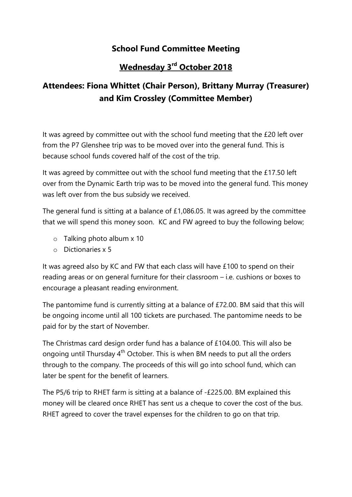## School Fund Committee Meeting

## Wednesday 3<sup>rd</sup> October 2018

## Attendees: Fiona Whittet (Chair Person), Brittany Murray (Treasurer) and Kim Crossley (Committee Member)

It was agreed by committee out with the school fund meeting that the £20 left over from the P7 Glenshee trip was to be moved over into the general fund. This is because school funds covered half of the cost of the trip.

It was agreed by committee out with the school fund meeting that the £17.50 left over from the Dynamic Earth trip was to be moved into the general fund. This money was left over from the bus subsidy we received.

The general fund is sitting at a balance of £1,086.05. It was agreed by the committee that we will spend this money soon. KC and FW agreed to buy the following below;

- o Talking photo album x 10
- o Dictionaries x 5

It was agreed also by KC and FW that each class will have £100 to spend on their reading areas or on general furniture for their classroom – i.e. cushions or boxes to encourage a pleasant reading environment.

The pantomime fund is currently sitting at a balance of £72.00. BM said that this will be ongoing income until all 100 tickets are purchased. The pantomime needs to be paid for by the start of November.

The Christmas card design order fund has a balance of £104.00. This will also be ongoing until Thursday  $4<sup>th</sup>$  October. This is when BM needs to put all the orders through to the company. The proceeds of this will go into school fund, which can later be spent for the benefit of learners.

The P5/6 trip to RHET farm is sitting at a balance of -£225.00. BM explained this money will be cleared once RHET has sent us a cheque to cover the cost of the bus. RHET agreed to cover the travel expenses for the children to go on that trip.